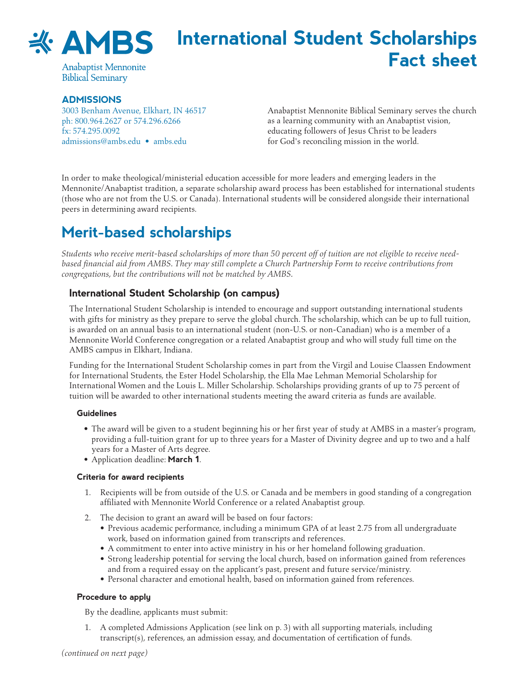

# **International Student Scholarships Fact sheet**

**Anabaptist Mennonite Biblical Seminary** 

#### **Admissions**

3003 Benham Avenue, Elkhart, IN 46517 ph: 800.964.2627 or 574.296.6266 fx: 574.295.0092 [admissions@ambs.edu](mailto:admissions%40ambs.edu?subject=) • [ambs.edu](http://ambs.edu)

Anabaptist Mennonite Biblical Seminary serves the church as a learning community with an Anabaptist vision, educating followers of Jesus Christ to be leaders for God's reconciling mission in the world.

In order to make theological/ministerial education accessible for more leaders and emerging leaders in the Mennonite/Anabaptist tradition, a separate scholarship award process has been established for international students (those who are not from the U.S. or Canada). International students will be considered alongside their international peers in determining award recipients.

## **Merit-based scholarships**

*Students who receive merit-based scholarships of more than 50 percent off of tuition are not eligible to receive needbased financial aid from AMBS. They may still complete a Church Partnership Form to receive contributions from congregations, but the contributions will not be matched by AMBS.*

### **International Student Scholarship (on campus)**

The International Student Scholarship is intended to encourage and support outstanding international students with gifts for ministry as they prepare to serve the global church. The scholarship, which can be up to full tuition, is awarded on an annual basis to an international student (non-U.S. or non-Canadian) who is a member of a Mennonite World Conference congregation or a related Anabaptist group and who will study full time on the AMBS campus in Elkhart, Indiana.

Funding for the International Student Scholarship comes in part from the Virgil and Louise Claassen Endowment for International Students, the Ester Hodel Scholarship, the Ella Mae Lehman Memorial Scholarship for International Women and the Louis L. Miller Scholarship. Scholarships providing grants of up to 75 percent of tuition will be awarded to other international students meeting the award criteria as funds are available.

#### **Guidelines**

- The award will be given to a student beginning his or her first year of study at AMBS in a master's program, providing a full-tuition grant for up to three years for a Master of Divinity degree and up to two and a half years for a Master of Arts degree.
- • Application deadline: **March 1**.

#### **Criteria for award recipients**

- 1. Recipients will be from outside of the U.S. or Canada and be members in good standing of a congregation affiliated with Mennonite World Conference or a related Anabaptist group.
- 2. The decision to grant an award will be based on four factors:
	- • Previous academic performance, including a minimum GPA of at least 2.75 from all undergraduate work, based on information gained from transcripts and references.
	- A commitment to enter into active ministry in his or her homeland following graduation.
	- • Strong leadership potential for serving the local church, based on information gained from references and from a required essay on the applicant's past, present and future service/ministry.
	- Personal character and emotional health, based on information gained from references.

#### **Procedure to apply**

By the deadline, applicants must submit:

1. A completed Admissions Application (see link on p. 3) with all supporting materials, including transcript(s), references, an admission essay, and documentation of certification of funds.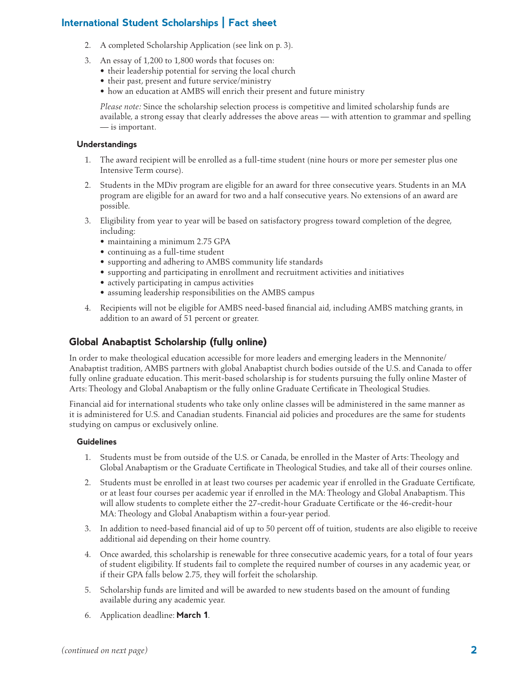### **International Student Scholarships | Fact sheet**

- 2. A completed Scholarship Application (see link on p. 3).
- 3. An essay of 1,200 to 1,800 words that focuses on:
	- their leadership potential for serving the local church
	- their past, present and future service/ministry
	- how an education at AMBS will enrich their present and future ministry

*Please note:* Since the scholarship selection process is competitive and limited scholarship funds are available, a strong essay that clearly addresses the above areas — with attention to grammar and spelling — is important.

#### **Understandings**

- 1. The award recipient will be enrolled as a full-time student (nine hours or more per semester plus one Intensive Term course).
- 2. Students in the MDiv program are eligible for an award for three consecutive years. Students in an MA program are eligible for an award for two and a half consecutive years. No extensions of an award are possible.
- 3. Eligibility from year to year will be based on satisfactory progress toward completion of the degree, including:
	- maintaining a minimum 2.75 GPA
	- continuing as a full-time student
	- • supporting and adhering to AMBS community life standards
	- • supporting and participating in enrollment and recruitment activities and initiatives
	- actively participating in campus activities
	- assuming leadership responsibilities on the AMBS campus
- 4. Recipients will not be eligible for AMBS need-based financial aid, including AMBS matching grants, in addition to an award of 51 percent or greater.

### **Global Anabaptist Scholarship (fully online)**

In order to make theological education accessible for more leaders and emerging leaders in the Mennonite/ Anabaptist tradition, AMBS partners with global Anabaptist church bodies outside of the U.S. and Canada to offer fully online graduate education. This merit-based scholarship is for students pursuing the fully online Master of Arts: Theology and Global Anabaptism or the fully online Graduate Certificate in Theological Studies.

Financial aid for international students who take only online classes will be administered in the same manner as it is administered for U.S. and Canadian students. Financial aid policies and procedures are the same for students studying on campus or exclusively online.

#### **Guidelines**

- 1. Students must be from outside of the U.S. or Canada, be enrolled in the Master of Arts: Theology and Global Anabaptism or the Graduate Certificate in Theological Studies, and take all of their courses online.
- 2. Students must be enrolled in at least two courses per academic year if enrolled in the Graduate Certificate, or at least four courses per academic year if enrolled in the MA: Theology and Global Anabaptism. This will allow students to complete either the 27-credit-hour Graduate Certificate or the 46-credit-hour MA: Theology and Global Anabaptism within a four-year period.
- 3. In addition to need-based financial aid of up to 50 percent off of tuition, students are also eligible to receive additional aid depending on their home country.
- 4. Once awarded, this scholarship is renewable for three consecutive academic years, for a total of four years of student eligibility. If students fail to complete the required number of courses in any academic year, or if their GPA falls below 2.75, they will forfeit the scholarship.
- 5. Scholarship funds are limited and will be awarded to new students based on the amount of funding available during any academic year.
- 6. Application deadline: **March 1**.